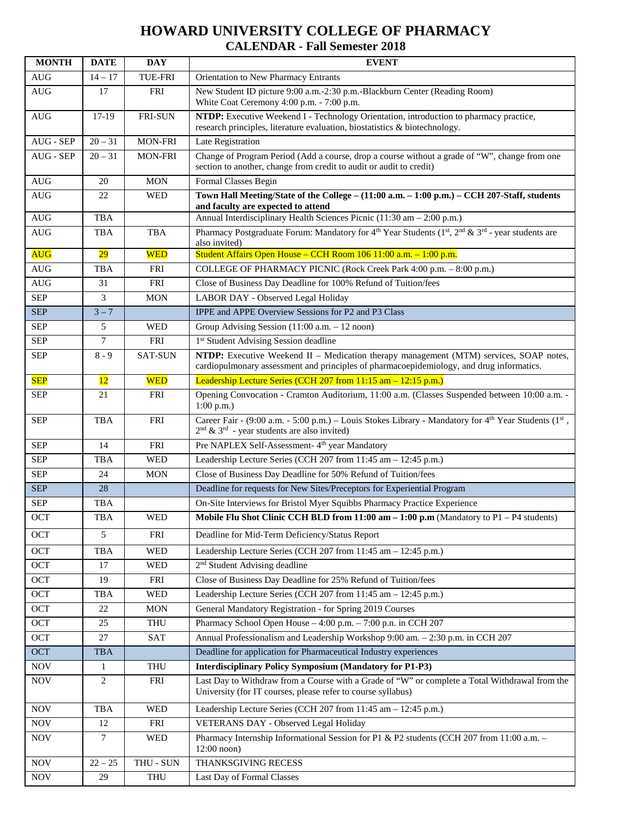## **HOWARD UNIVERSITY COLLEGE OF PHARMACY CALENDAR - Fall Semester 2018**

| <b>MONTH</b>                     | <b>DATE</b> | <b>DAY</b>     | <b>EVENT</b>                                                                                                                                                                       |
|----------------------------------|-------------|----------------|------------------------------------------------------------------------------------------------------------------------------------------------------------------------------------|
| <b>AUG</b>                       | $14 - 17$   | <b>TUE-FRI</b> | Orientation to New Pharmacy Entrants                                                                                                                                               |
| <b>AUG</b>                       | 17          | <b>FRI</b>     | New Student ID picture 9:00 a.m.-2:30 p.m.-Blackburn Center (Reading Room)<br>White Coat Ceremony 4:00 p.m. - 7:00 p.m.                                                            |
| <b>AUG</b>                       | $17-19$     | FRI-SUN        | NTDP: Executive Weekend I - Technology Orientation, introduction to pharmacy practice,<br>research principles, literature evaluation, biostatistics & biotechnology.               |
| AUG - SEP                        | $20 - 31$   | MON-FRI        | Late Registration                                                                                                                                                                  |
| AUG - SEP                        | $20 - 31$   | <b>MON-FRI</b> | Change of Program Period (Add a course, drop a course without a grade of "W", change from one<br>section to another, change from credit to audit or audit to credit)               |
| $\mathbf{A}\mathbf{U}\mathbf{G}$ | 20          | <b>MON</b>     | Formal Classes Begin                                                                                                                                                               |
| <b>AUG</b>                       | 22          | <b>WED</b>     | Town Hall Meeting/State of the College - (11:00 a.m. - 1:00 p.m.) - CCH 207-Staff, students<br>and faculty are expected to attend                                                  |
| $\operatorname{AUG}$             | TBA         |                | Annual Interdisciplinary Health Sciences Picnic (11:30 am - 2:00 p.m.)                                                                                                             |
| <b>AUG</b>                       | <b>TBA</b>  | <b>TBA</b>     | Pharmacy Postgraduate Forum: Mandatory for $4^{th}$ Year Students (1 <sup>st</sup> , 2 <sup>nd</sup> & 3 <sup>rd</sup> - year students are<br>also invited)                        |
| <b>AUG</b>                       | 29          | <b>WED</b>     | Student Affairs Open House - CCH Room 106 11:00 a.m. - 1:00 p.m.                                                                                                                   |
| $\mathop{\rm AUG}\nolimits$      | <b>TBA</b>  | FRI            | COLLEGE OF PHARMACY PICNIC (Rock Creek Park 4:00 p.m. - 8:00 p.m.)                                                                                                                 |
| <b>AUG</b>                       | 31          | <b>FRI</b>     | Close of Business Day Deadline for 100% Refund of Tuition/fees                                                                                                                     |
| <b>SEP</b>                       | 3           | <b>MON</b>     | LABOR DAY - Observed Legal Holiday                                                                                                                                                 |
| <b>SEP</b>                       | $3 - 7$     |                | IPPE and APPE Overview Sessions for P2 and P3 Class                                                                                                                                |
| <b>SEP</b>                       | 5           | <b>WED</b>     | Group Advising Session $(11:00 a.m. - 12 noon)$                                                                                                                                    |
| <b>SEP</b>                       | 7           | FRI            | 1 <sup>st</sup> Student Advising Session deadline                                                                                                                                  |
| <b>SEP</b>                       | $8 - 9$     | <b>SAT-SUN</b> | NTDP: Executive Weekend II - Medication therapy management (MTM) services, SOAP notes,<br>cardiopulmonary assessment and principles of pharmacoepidemiology, and drug informatics. |
| <b>SEP</b>                       | 12          | <b>WED</b>     | Leadership Lecture Series (CCH 207 from 11:15 am - 12:15 p.m.)                                                                                                                     |
| <b>SEP</b>                       | 21          | FRI            | Opening Convocation - Cramton Auditorium, 11:00 a.m. (Classes Suspended between 10:00 a.m. -<br>$1:00$ p.m.)                                                                       |
| <b>SEP</b>                       | <b>TBA</b>  | <b>FRI</b>     | Career Fair - (9:00 a.m. - 5:00 p.m.) – Louis Stokes Library - Mandatory for 4th Year Students (1st,<br>$2nd$ & $3rd$ - year students are also invited)                            |
| <b>SEP</b>                       | 14          | <b>FRI</b>     | Pre NAPLEX Self-Assessment-4 <sup>th</sup> year Mandatory                                                                                                                          |
| <b>SEP</b>                       | TBA         | <b>WED</b>     | Leadership Lecture Series (CCH 207 from 11:45 am - 12:45 p.m.)                                                                                                                     |
| <b>SEP</b>                       | 24          | <b>MON</b>     | Close of Business Day Deadline for 50% Refund of Tuition/fees                                                                                                                      |
| <b>SEP</b>                       | 28          |                | Deadline for requests for New Sites/Preceptors for Experiential Program                                                                                                            |
| <b>SEP</b>                       | TBA         |                | On-Site Interviews for Bristol Myer Squibbs Pharmacy Practice Experience                                                                                                           |
| OCT                              | <b>TBA</b>  | <b>WED</b>     | Mobile Flu Shot Clinic CCH BLD from 11:00 am - 1:00 p.m (Mandatory to P1 - P4 students)                                                                                            |
| <b>OCT</b>                       | 5           | FRI            | Deadline for Mid-Term Deficiency/Status Report                                                                                                                                     |
| OCT                              | TBA         | <b>WED</b>     | Leadership Lecture Series (CCH 207 from 11:45 am - 12:45 p.m.)                                                                                                                     |
| OCT                              | 17          | <b>WED</b>     | 2 <sup>nd</sup> Student Advising deadline                                                                                                                                          |
| OCT                              | 19          | FRI            | Close of Business Day Deadline for 25% Refund of Tuition/fees                                                                                                                      |
| OCT                              | TBA         | <b>WED</b>     | Leadership Lecture Series (CCH 207 from 11:45 am - 12:45 p.m.)                                                                                                                     |
| OCT                              | 22          | <b>MON</b>     | General Mandatory Registration - for Spring 2019 Courses                                                                                                                           |
| OCT                              | 25          | <b>THU</b>     | Pharmacy School Open House - 4:00 p.m. - 7:00 p.n. in CCH 207                                                                                                                      |
| OCT                              | 27          | SAT            | Annual Professionalism and Leadership Workshop 9:00 am. - 2:30 p.m. in CCH 207                                                                                                     |
| <b>OCT</b>                       | <b>TBA</b>  |                | Deadline for application for Pharmaceutical Industry experiences                                                                                                                   |
| <b>NOV</b>                       | 1           | <b>THU</b>     | <b>Interdisciplinary Policy Symposium (Mandatory for P1-P3)</b>                                                                                                                    |
| <b>NOV</b>                       | 2           | FRI            | Last Day to Withdraw from a Course with a Grade of "W" or complete a Total Withdrawal from the<br>University (for IT courses, please refer to course syllabus)                     |
| <b>NOV</b>                       | TBA         | <b>WED</b>     | Leadership Lecture Series (CCH 207 from 11:45 am - 12:45 p.m.)                                                                                                                     |
| <b>NOV</b>                       | 12          | <b>FRI</b>     | VETERANS DAY - Observed Legal Holiday                                                                                                                                              |
| <b>NOV</b>                       | 7           | <b>WED</b>     | Pharmacy Internship Informational Session for P1 & P2 students (CCH 207 from 11:00 a.m. -<br>$12:00$ noon)                                                                         |
| <b>NOV</b>                       | $22 - 25$   | THU - SUN      | THANKSGIVING RECESS                                                                                                                                                                |
| <b>NOV</b>                       | 29          | <b>THU</b>     | Last Day of Formal Classes                                                                                                                                                         |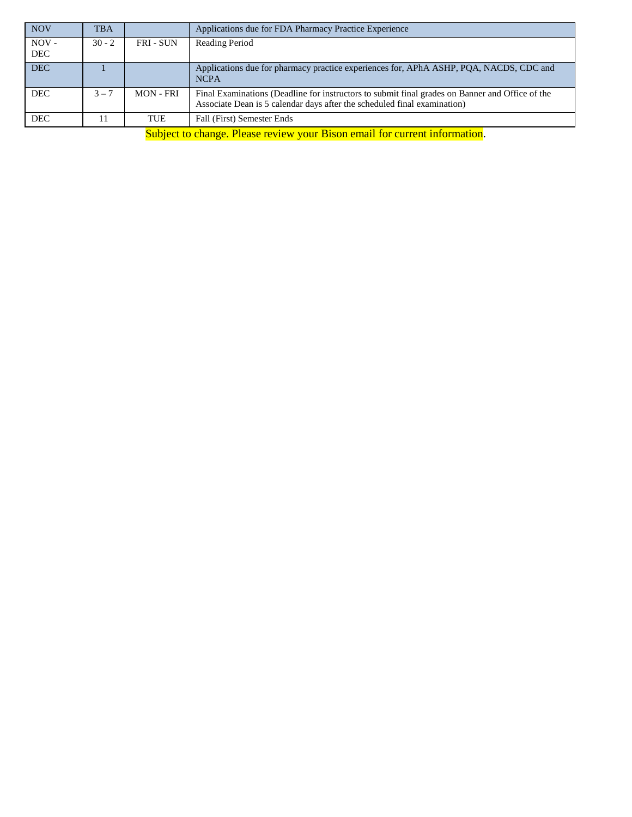| <b>NOV</b>            | <b>TBA</b>                                                                                                                                                                                                                                                                                                                                                                         |                  | Applications due for FDA Pharmacy Practice Experience                                                                                                                       |  |  |  |  |
|-----------------------|------------------------------------------------------------------------------------------------------------------------------------------------------------------------------------------------------------------------------------------------------------------------------------------------------------------------------------------------------------------------------------|------------------|-----------------------------------------------------------------------------------------------------------------------------------------------------------------------------|--|--|--|--|
| $NOV -$<br><b>DEC</b> | $30 - 2$                                                                                                                                                                                                                                                                                                                                                                           | <b>FRI - SUN</b> | Reading Period                                                                                                                                                              |  |  |  |  |
|                       |                                                                                                                                                                                                                                                                                                                                                                                    |                  |                                                                                                                                                                             |  |  |  |  |
| <b>DEC</b>            |                                                                                                                                                                                                                                                                                                                                                                                    |                  | Applications due for pharmacy practice experiences for, APhA ASHP, PQA, NACDS, CDC and<br><b>NCPA</b>                                                                       |  |  |  |  |
| <b>DEC</b>            | $3 - 7$                                                                                                                                                                                                                                                                                                                                                                            | <b>MON - FRI</b> | Final Examinations (Deadline for instructors to submit final grades on Banner and Office of the<br>Associate Dean is 5 calendar days after the scheduled final examination) |  |  |  |  |
| <b>DEC</b>            |                                                                                                                                                                                                                                                                                                                                                                                    | TUE              | Fall (First) Semester Ends                                                                                                                                                  |  |  |  |  |
|                       | $\alpha$ , $\beta$ , $\beta$ , $\beta$ , $\beta$ , $\beta$ , $\beta$ , $\beta$ , $\beta$ , $\beta$ , $\beta$ , $\beta$ , $\beta$ , $\beta$ , $\beta$ , $\beta$ , $\beta$ , $\beta$ , $\beta$ , $\beta$ , $\beta$ , $\beta$ , $\beta$ , $\beta$ , $\beta$ , $\beta$ , $\beta$ , $\beta$ , $\beta$ , $\beta$ , $\beta$ , $\beta$ , $\beta$ , $\beta$ , $\beta$ , $\beta$ , $\beta$ , |                  |                                                                                                                                                                             |  |  |  |  |

Subject to change. Please review your Bison email for current information.